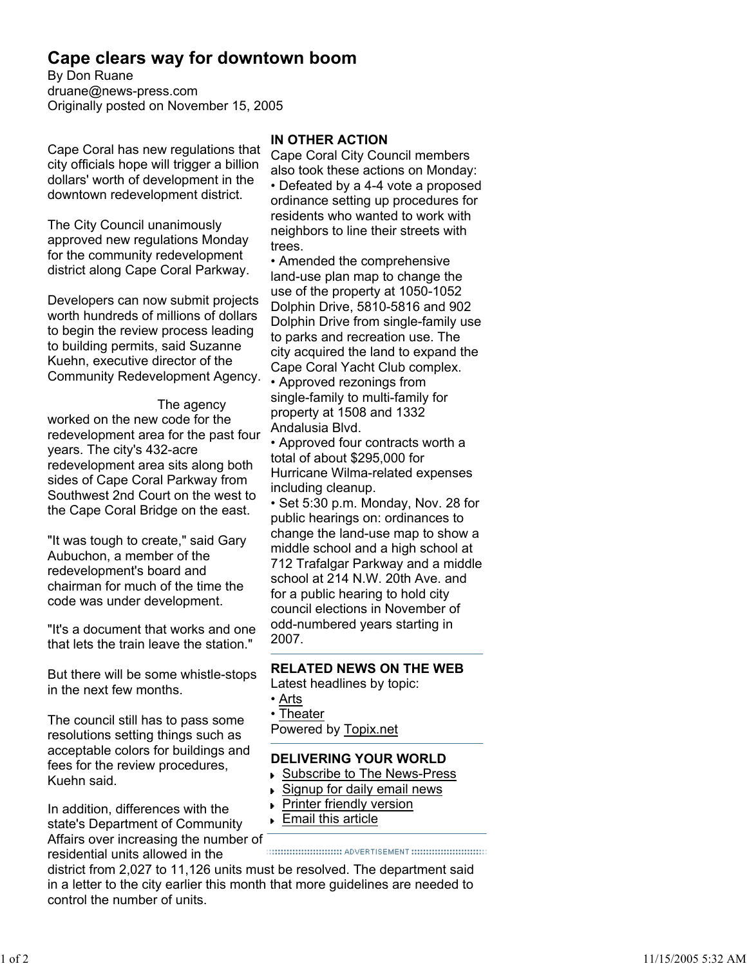# **Cape clears way for downtown boom**

By Don Ruane druane@news-press.com Originally posted on November 15, 2005

Cape Coral has new regulations that city officials hope will trigger a billion dollars' worth of development in the downtown redevelopment district.

The City Council unanimously approved new regulations Monday for the community redevelopment district along Cape Coral Parkway.

Developers can now submit projects worth hundreds of millions of dollars to begin the review process leading to building permits, said Suzanne Kuehn, executive director of the Community Redevelopment Agency.

#### The agency

worked on the new code for the redevelopment area for the past four years. The city's 432-acre redevelopment area sits along both sides of Cape Coral Parkway from Southwest 2nd Court on the west to the Cape Coral Bridge on the east.

"It was tough to create," said Gary Aubuchon, a member of the redevelopment's board and chairman for much of the time the code was under development.

"It's a document that works and one that lets the train leave the station."

But there will be some whistle-stops in the next few months.

The council still has to pass some resolutions setting things such as acceptable colors for buildings and fees for the review procedures, Kuehn said.

In addition, differences with the state's Department of Community Affairs over increasing the number of<br>recidential units allowed in the summunically abvertisement minimum residential units allowed in the

### **IN OTHER ACTION**

Cape Coral City Council members also took these actions on Monday: • Defeated by a 4-4 vote a proposed ordinance setting up procedures for residents who wanted to work with neighbors to line their streets with trees.

• Amended the comprehensive land-use plan map to change the use of the property at 1050-1052 Dolphin Drive, 5810-5816 and 902 Dolphin Drive from single-family use to parks and recreation use. The city acquired the land to expand the Cape Coral Yacht Club complex.

• Approved rezonings from single-family to multi-family for property at 1508 and 1332 Andalusia Blvd.

• Approved four contracts worth a total of about \$295,000 for Hurricane Wilma-related expenses including cleanup.

• Set 5:30 p.m. Monday, Nov. 28 for public hearings on: ordinances to change the land-use map to show a middle school and a high school at 712 Trafalgar Parkway and a middle school at 214 N.W. 20th Ave. and for a public hearing to hold city council elections in November of odd-numbered years starting in 2007.

# **RELATED NEWS ON THE WEB**

Latest headlines by topic:

- Arts
- Theater

Powered by Topix.net

# **DELIVERING YOUR WORLD**

- Subscribe to The News-Press
- Signup for daily email news
- **Printer friendly version**
- Email this article

district from 2,027 to 11,126 units must be resolved. The department said in a letter to the city earlier this month that more guidelines are needed to control the number of units.